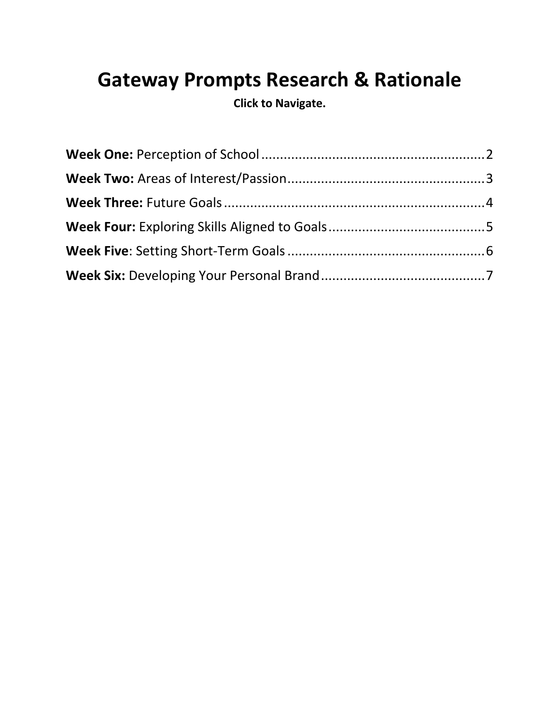# **Gateway Prompts Research & Rationale**

**Click to Navigate.**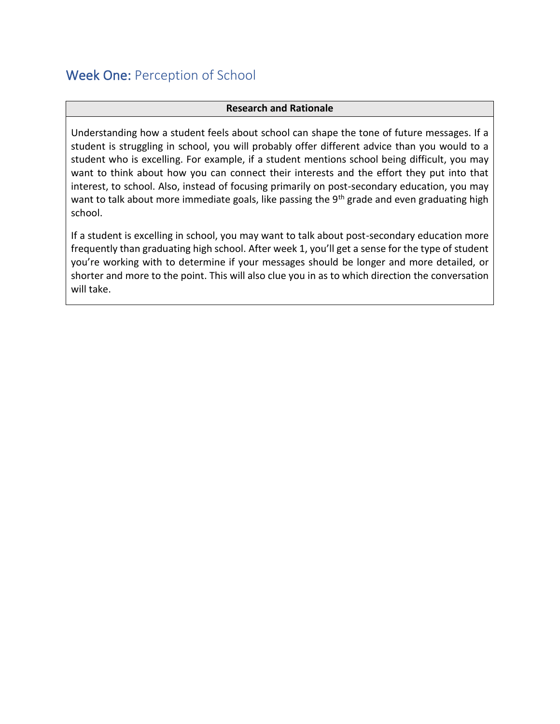### <span id="page-1-0"></span>Week One: Perception of School

#### **Research and Rationale**

Understanding how a student feels about school can shape the tone of future messages. If a student is struggling in school, you will probably offer different advice than you would to a student who is excelling. For example, if a student mentions school being difficult, you may want to think about how you can connect their interests and the effort they put into that interest, to school. Also, instead of focusing primarily on post-secondary education, you may want to talk about more immediate goals, like passing the 9<sup>th</sup> grade and even graduating high school.

If a student is excelling in school, you may want to talk about post-secondary education more frequently than graduating high school. After week 1, you'll get a sense for the type of student you're working with to determine if your messages should be longer and more detailed, or shorter and more to the point. This will also clue you in as to which direction the conversation will take.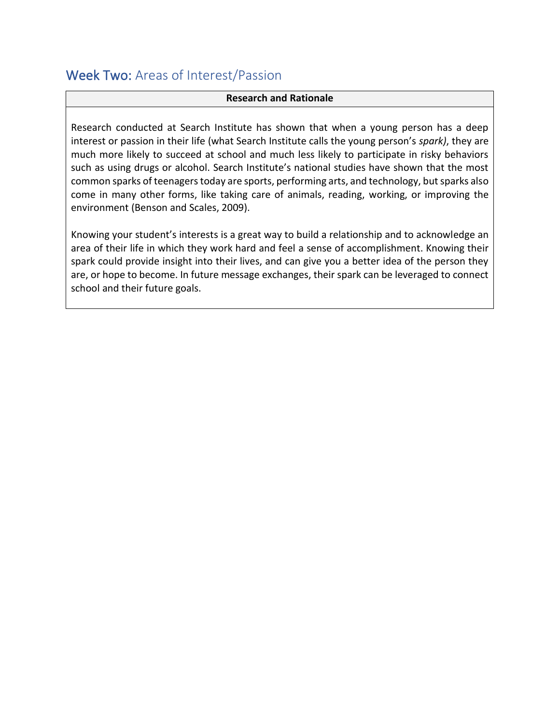### <span id="page-2-0"></span>Week Two: Areas of Interest/Passion

#### **Research and Rationale**

Research conducted at Search Institute has shown that when a young person has a deep interest or passion in their life (what Search Institute calls the young person's *spark)*, they are much more likely to succeed at school and much less likely to participate in risky behaviors such as using drugs or alcohol. Search Institute's national studies have shown that the most common sparks of teenagers today are sports, performing arts, and technology, but sparks also come in many other forms, like taking care of animals, reading, working, or improving the environment (Benson and Scales, 2009).

Knowing your student's interests is a great way to build a relationship and to acknowledge an area of their life in which they work hard and feel a sense of accomplishment. Knowing their spark could provide insight into their lives, and can give you a better idea of the person they are, or hope to become. In future message exchanges, their spark can be leveraged to connect school and their future goals.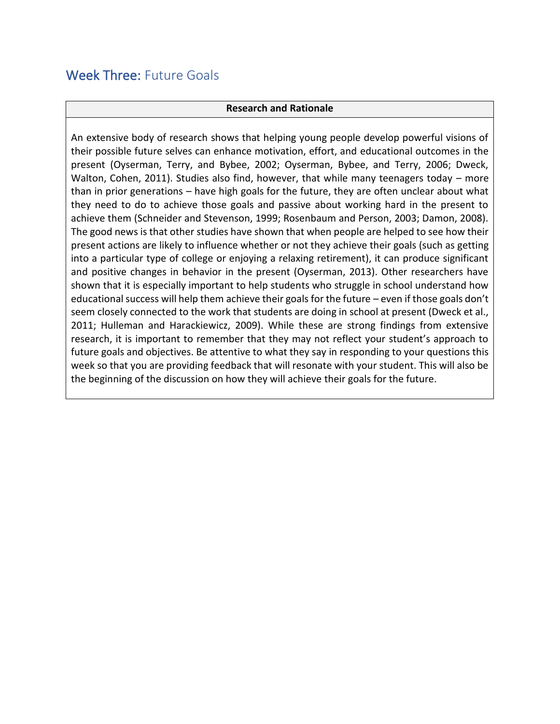### <span id="page-3-0"></span>Week Three: Future Goals

#### **Research and Rationale**

An extensive body of research shows that helping young people develop powerful visions of their possible future selves can enhance motivation, effort, and educational outcomes in the present (Oyserman, Terry, and Bybee, 2002; Oyserman, Bybee, and Terry, 2006; Dweck, Walton, Cohen, 2011). Studies also find, however, that while many teenagers today – more than in prior generations – have high goals for the future, they are often unclear about what they need to do to achieve those goals and passive about working hard in the present to achieve them (Schneider and Stevenson, 1999; Rosenbaum and Person, 2003; Damon, 2008). The good news is that other studies have shown that when people are helped to see how their present actions are likely to influence whether or not they achieve their goals (such as getting into a particular type of college or enjoying a relaxing retirement), it can produce significant and positive changes in behavior in the present (Oyserman, 2013). Other researchers have shown that it is especially important to help students who struggle in school understand how educational success will help them achieve their goals for the future – even if those goals don't seem closely connected to the work that students are doing in school at present (Dweck et al., 2011; Hulleman and Harackiewicz, 2009). While these are strong findings from extensive research, it is important to remember that they may not reflect your student's approach to future goals and objectives. Be attentive to what they say in responding to your questions this week so that you are providing feedback that will resonate with your student. This will also be the beginning of the discussion on how they will achieve their goals for the future.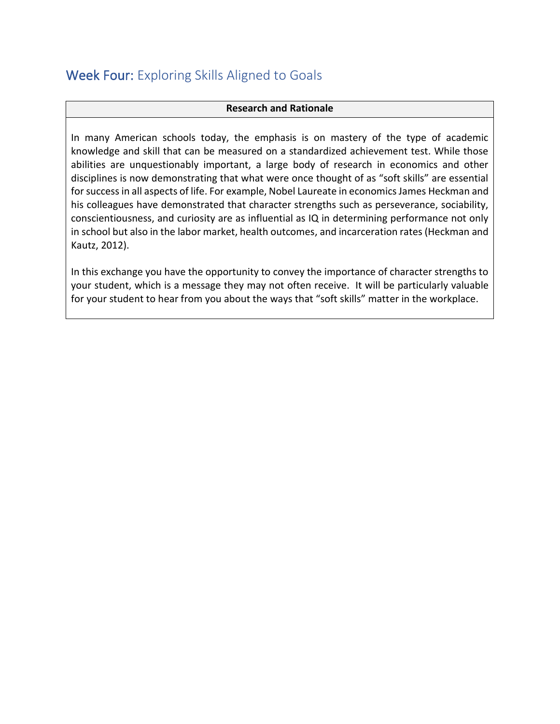### <span id="page-4-0"></span>Week Four: Exploring Skills Aligned to Goals

### **Research and Rationale**

In many American schools today, the emphasis is on mastery of the type of academic knowledge and skill that can be measured on a standardized achievement test. While those abilities are unquestionably important, a large body of research in economics and other disciplines is now demonstrating that what were once thought of as "soft skills" are essential for successin all aspects of life. For example, Nobel Laureate in economics James Heckman and his colleagues have demonstrated that character strengths such as perseverance, sociability, conscientiousness, and curiosity are as influential as IQ in determining performance not only in school but also in the labor market, health outcomes, and incarceration rates (Heckman and Kautz, 2012).

In this exchange you have the opportunity to convey the importance of character strengths to your student, which is a message they may not often receive. It will be particularly valuable for your student to hear from you about the ways that "soft skills" matter in the workplace.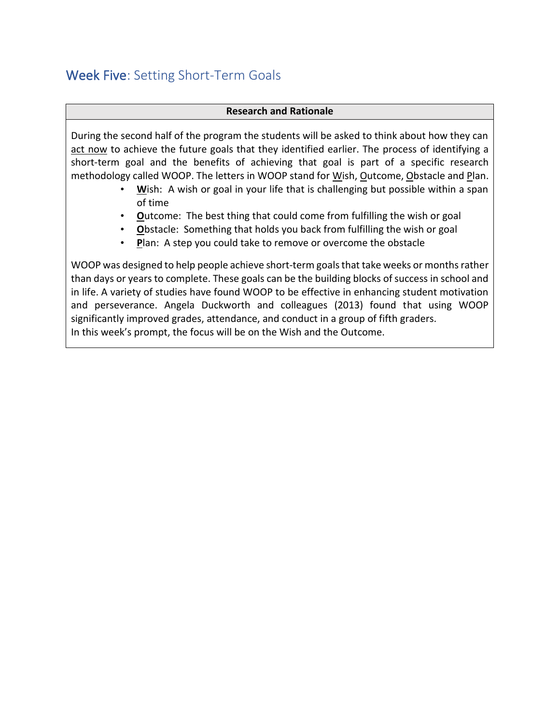### <span id="page-5-0"></span>Week Five: Setting Short-Term Goals

### **Research and Rationale**

During the second half of the program the students will be asked to think about how they can act now to achieve the future goals that they identified earlier. The process of identifying a short-term goal and the benefits of achieving that goal is part of a specific research methodology called WOOP. The letters in WOOP stand for Wish, Outcome, Obstacle and Plan.

- **W**ish: A wish or goal in your life that is challenging but possible within a span of time
- **O**utcome: The best thing that could come from fulfilling the wish or goal
- **O**bstacle: Something that holds you back from fulfilling the wish or goal
- **P**lan: A step you could take to remove or overcome the obstacle

WOOP was designed to help people achieve short-term goals that take weeks or months rather than days or years to complete. These goals can be the building blocks of success in school and in life. A variety of studies have found WOOP to be effective in enhancing student motivation and perseverance. Angela Duckworth and colleagues (2013) found that using WOOP significantly improved grades, attendance, and conduct in a group of fifth graders. In this week's prompt, the focus will be on the Wish and the Outcome.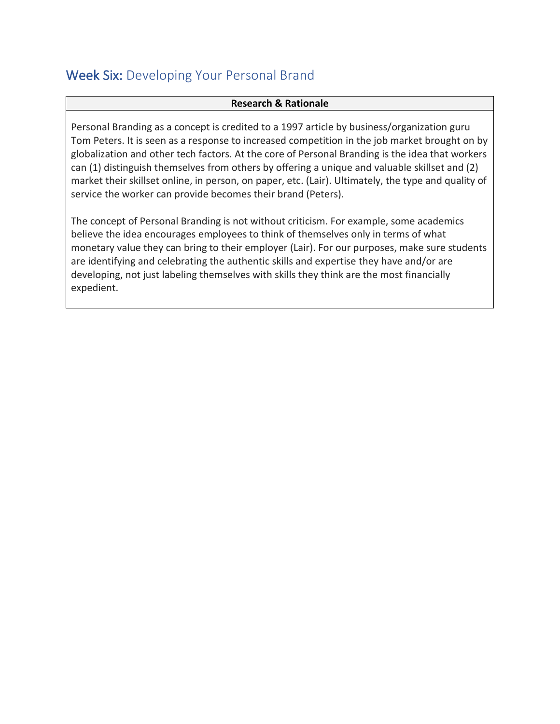## <span id="page-6-0"></span>Week Six: Developing Your Personal Brand

#### **Research & Rationale**

Personal Branding as a concept is credited to a 1997 article by business/organization guru Tom Peters. It is seen as a response to increased competition in the job market brought on by globalization and other tech factors. At the core of Personal Branding is the idea that workers can (1) distinguish themselves from others by offering a unique and valuable skillset and (2) market their skillset online, in person, on paper, etc. (Lair). Ultimately, the type and quality of service the worker can provide becomes their brand (Peters).

The concept of Personal Branding is not without criticism. For example, some academics believe the idea encourages employees to think of themselves only in terms of what monetary value they can bring to their employer (Lair). For our purposes, make sure students are identifying and celebrating the authentic skills and expertise they have and/or are developing, not just labeling themselves with skills they think are the most financially expedient.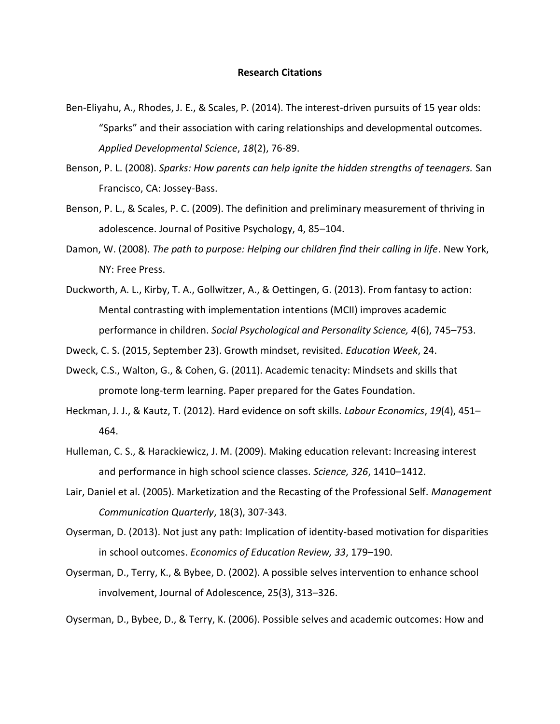#### **Research Citations**

- Ben-Eliyahu, A., Rhodes, J. E., & Scales, P. (2014). The interest-driven pursuits of 15 year olds: "Sparks" and their association with caring relationships and developmental outcomes. *Applied Developmental Science*, *18*(2), 76-89.
- Benson, P. L. (2008). *Sparks: How parents can help ignite the hidden strengths of teenagers.* San Francisco, CA: Jossey-Bass.
- Benson, P. L., & Scales, P. C. (2009). The definition and preliminary measurement of thriving in adolescence. Journal of Positive Psychology, 4, 85–104.
- Damon, W. (2008). *The path to purpose: Helping our children find their calling in life*. New York, NY: Free Press.
- Duckworth, A. L., Kirby, T. A., Gollwitzer, A., & Oettingen, G. (2013). From fantasy to action: Mental contrasting with implementation intentions (MCII) improves academic performance in children. *Social Psychological and Personality Science, 4*(6), 745–753.
- Dweck, C. S. (2015, September 23). Growth mindset, revisited. *Education Week*, 24.
- Dweck, C.S., Walton, G., & Cohen, G. (2011). Academic tenacity: Mindsets and skills that promote long-term learning. Paper prepared for the Gates Foundation.
- Heckman, J. J., & Kautz, T. (2012). Hard evidence on soft skills. *Labour Economics*, *19*(4), 451– 464.
- Hulleman, C. S., & Harackiewicz, J. M. (2009). Making education relevant: Increasing interest and performance in high school science classes. *Science, 326*, 1410–1412.
- Lair, Daniel et al. (2005). Marketization and the Recasting of the Professional Self. *Management Communication Quarterly*, 18(3), 307-343.
- Oyserman, D. (2013). Not just any path: Implication of identity-based motivation for disparities in school outcomes. *Economics of Education Review, 33*, 179–190.
- Oyserman, D., Terry, K., & Bybee, D. (2002). A possible selves intervention to enhance school involvement, Journal of Adolescence, 25(3), 313–326.

Oyserman, D., Bybee, D., & Terry, K. (2006). Possible selves and academic outcomes: How and